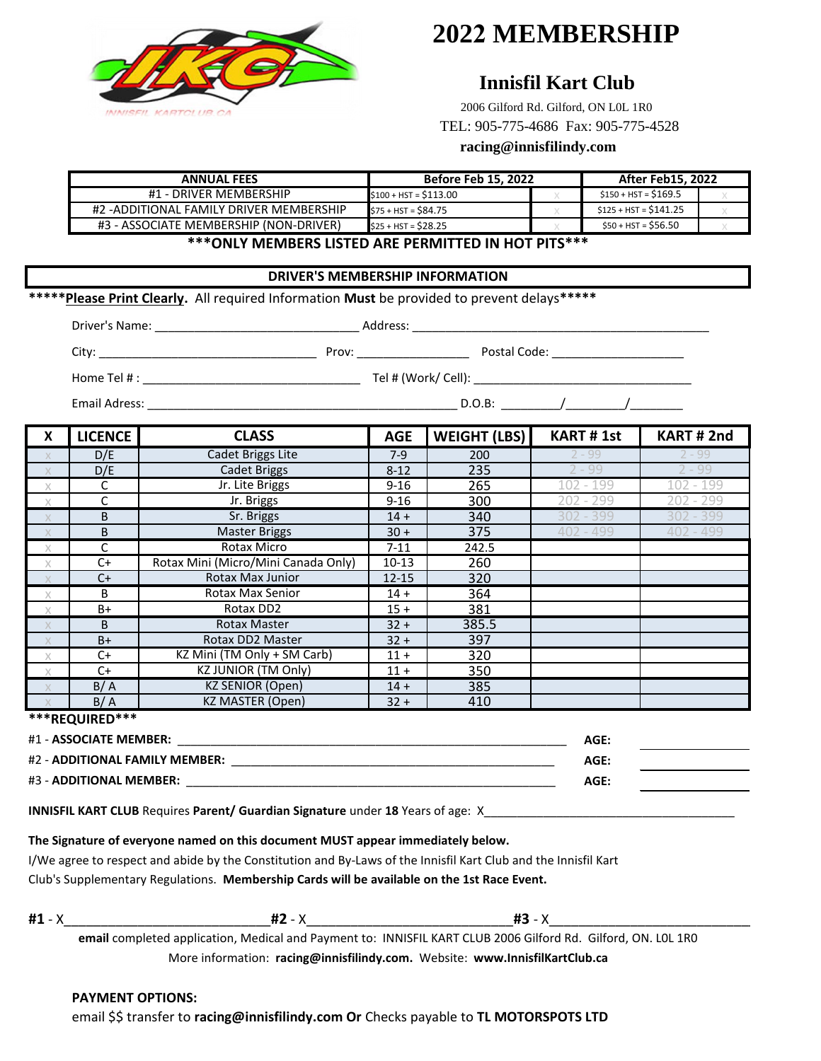

# **2022 MEMBERSHIP**

## **Innisfil Kart Club**

2006 Gilford Rd. Gilford, ON L0L 1R0 TEL: 905-775-4686 Fax: 905-775-4528

### **racing@innisfilindy.com**

| <b>ANNUAL FEES</b>                      | <b>Before Feb 15, 2022</b> |  | <b>After Feb15, 2022</b> |  |  |
|-----------------------------------------|----------------------------|--|--------------------------|--|--|
| #1 - DRIVER MEMBERSHIP                  | $$100 + HST = $113.00$     |  | $$150 + HST = $169.5$    |  |  |
| #2 -ADDITIONAL FAMILY DRIVER MEMBERSHIP | S75 + HST = \$84.75        |  | $$125 + HST = $141.25$   |  |  |
| #3 - ASSOCIATE MEMBERSHIP (NON-DRIVER)  | $$25 + HST = $28.25$       |  | $$50 + HST = $56.50$     |  |  |
|                                         |                            |  |                          |  |  |

**\*\*\*ONLY MEMBERS LISTED ARE PERMITTED IN HOT PITS\*\*\***

#### **DRIVER'S MEMBERSHIP INFORMATION**

**\*\*\*\*\*Please Print Clearly.** All required Information **Must** be provided to prevent delays**\*\*\*\*\***

| $\mathsf{x}$ | <b>LICENCE</b> | <b>CLASS</b>                        | <b>AGE</b> | <b>WEIGHT (LBS)</b> | <b>KART #1st</b> | KART#2nd    |
|--------------|----------------|-------------------------------------|------------|---------------------|------------------|-------------|
| X            | D/E            | Cadet Briggs Lite                   | $7-9$      | 200                 | $2 - 99$         | $2 - 99$    |
| $\mathbf{X}$ | D/E            | <b>Cadet Briggs</b>                 | $8 - 12$   | 235                 | $2 - 99$         | $2 - 99$    |
| $\times$     | C              | Jr. Lite Briggs                     | $9 - 16$   | 265                 | $102 - 199$      | $102 - 199$ |
| $\times$     | C              | Jr. Briggs                          | $9 - 16$   | 300                 | $202 - 299$      | $202 - 299$ |
| $\mathsf{X}$ | B              | Sr. Briggs                          | $14 +$     | 340                 | $302 - 399$      | 302 - 399   |
| X            | B              | Master Briggs                       | $30 +$     | 375                 | $402 - 499$      | $402 - 499$ |
| $\times$     | C              | Rotax Micro                         | $7 - 11$   | 242.5               |                  |             |
| $\times$     | $C+$           | Rotax Mini (Micro/Mini Canada Only) | $10-13$    | 260                 |                  |             |
|              | $C+$           | Rotax Max Junior                    | $12 - 15$  | 320                 |                  |             |
| $\times$     | B              | Rotax Max Senior                    | $14 +$     | 364                 |                  |             |
| $\times$     | B+             | Rotax DD2                           | $15 +$     | 381                 |                  |             |
| X            | B              | Rotax Master                        | $32 +$     | 385.5               |                  |             |
|              | $B+$           | Rotax DD2 Master                    | $32 +$     | 397                 |                  |             |
| $\times$     | $C+$           | KZ Mini (TM Only + SM Carb)         | $11 +$     | 320                 |                  |             |
| $\times$     | $C+$           | <b>KZ JUNIOR (TM Only)</b>          | $11 +$     | 350                 |                  |             |
| X            | B/A            | <b>KZ SENIOR (Open)</b>             | $14 +$     | 385                 |                  |             |
| $\times$     | B/A            | KZ MASTER (Open)                    | $32 +$     | 410                 |                  |             |

**\*\*\*REQUIRED\*\*\***

| #1 - ASSOCIATE MEMBER:         | AGE: |  |
|--------------------------------|------|--|
| #2 - ADDITIONAL FAMILY MEMBER: | AGE: |  |
| #3 - ADDITIONAL MEMBER:        | AGE: |  |

**INNISFIL KART CLUB** Requires Parent/ Guardian Signature under 18 Years of age: X\_

#### **The Signature of everyone named on this document MUST appear immediately below.**

I/We agree to respect and abide by the Constitution and By-Laws of the Innisfil Kart Club and the Innisfil Kart Club's Supplementary Regulations. **Membership Cards will be available on the 1st Race Event.**

**#1** - X\_\_\_\_\_\_\_\_\_\_\_\_\_\_\_\_\_\_\_\_\_\_\_\_\_\_\_\_**#2** - X\_\_\_\_\_\_\_\_\_\_\_\_\_\_\_\_\_\_\_\_\_\_\_\_\_\_\_\_**#3** - X\_\_\_\_\_\_\_\_\_\_\_\_\_\_\_\_\_\_\_\_\_\_\_\_\_\_\_\_\_\_\_

More information: **racing@innisfilindy.com.** Website: **www.InnisfilKartClub.ca email** completed application, Medical and Payment to: INNISFIL KART CLUB 2006 Gilford Rd. Gilford, ON. L0L 1R0

#### **PAYMENT OPTIONS:**

email \$\$ transfer to **racing@innisfilindy.com Or** Checks payable to **TL MOTORSPOTS LTD**